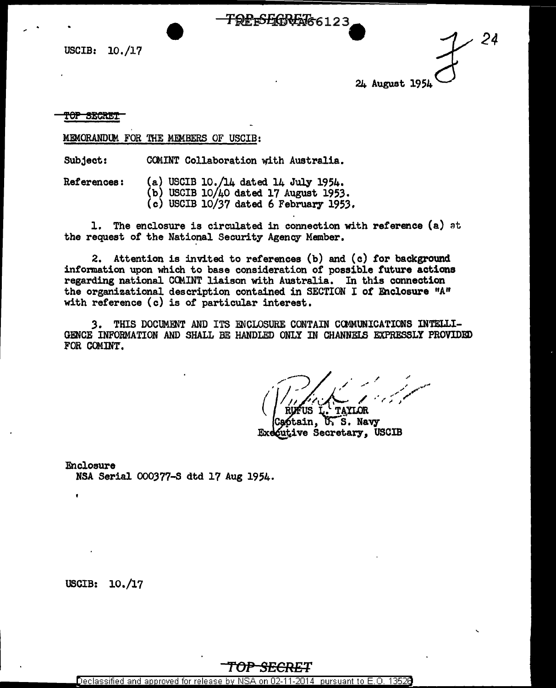USCIB: 10./17

*24* 24 August 1951

top secret

MFMORANDUM FOR THE MFMBERS OF USCIB:

Subject: COMINT Collaboration with Australia.

References: (a) USCIB 10./14 dated 14 July 1954.

- (b) USCIB 10/40 dated 17 August 1953.
	- (c) USCIB 10/37 dated 6 February 1953.

1. The enclosure is circulated in connection with reference (a) at the request of the National Security Agency Member.

<del>TQPrSEGREXI66</del>123

2. Attention is invited to references (b) and (c) for background information upon which to base consideration of possible future actions regarding national COMINT liaison with Australia. In this connection the organizational description contained in SECTION I *ot* Enclosure "A" with reference (c) is of particular interest.

3. THIS DOCUMENT AND ITS ENCLOSURE CONTAIN COMMUNICATIONS INTELLI-GENCE INFORMATION AND SHALL BE HANDLED ONLY IN CHANNELS EXPRESSLY PROVIDED FOR COMINT.

AFUS I .. TAYLOR

btain, U.S. Navy putive Secretary, USCIB

Enclosure NSA Serial 000377-S dtd 17 Aug 1954.

USCIB: 10./17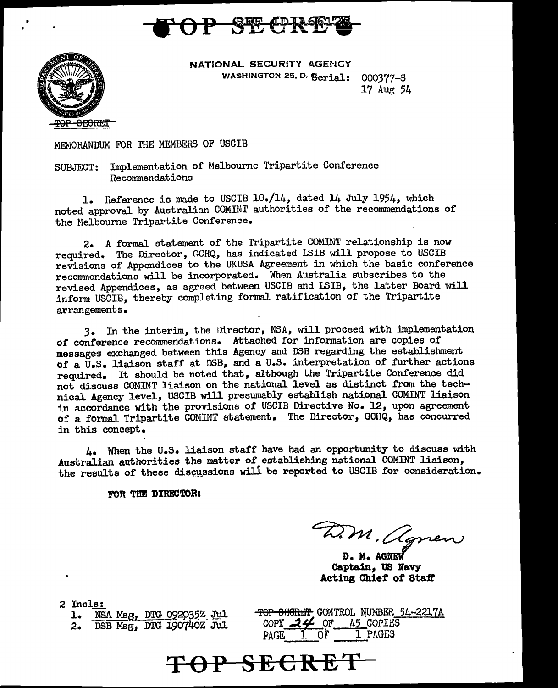



NATIONAL SECURITY AGENCY WASHINGTON 25, D. Serial: 000377-S

17 Aug 54

MEMOHANDUM: FOR THE MEMBERS OF USCIB

SUBJECT: Implementation of Melbourne Tripartite Conference Reconnnendations

1. Reference is made to USCIB 10./14, dated 14 July 1954, which noted approval by Australian COMINT authorities of the recommendations of the Melbourne Tripartite Conference.

2. A formal statement of the Tripartite COMINT relationship is now required. The Director, GCHQ, has indicated LSIB will propose to USCIB revisions of Appendices to the UKUSA Agreement in which the basic conference reconnnendations will be incorporated. When Australia subscribes to the revised Appendices, as agreed between USCIB and LSIB, the latter Board will inform USCIB, thereby completing formal ratification of the Tripartite arrangements.

3. In the interim, the Director, NSA, will proceed with implementation of conference recommendations. Attached for information are copies of messages exchanged between this Agency and DSB regarding the establishment of a U.S. liaison staff at DSB, and a U.S. interpretation of further actions required. It should be noted that, although the Tripartite Conference did not discuss COMINT liaison on the national level as distinct from the technical Agency level, USCIB will presumably establish national COMINT liaison in accordance with the provisions of USCIB Directive No. 12, upon agreement of a formal Tripartite COMINT statement. The Director, GCHQ, has concurred in this concept.

4. When the u.s. liaison staff have had an opportunity to discuss with Australian authorities the matter of establishing national COMINT liaison, the results of these discussions will be reported to USCIB for consideration.

FOR THE DIRECTOR:

D.M. agnew

D. M. AGNEW **Captain, tJB Bavy Acting Chief of Staff** 

2 Incls:

1. NSA Msg, DTG 092035Z Jul 2. DSB Msg, DTG 190740Z Jul DSB Msg, DTG 190740Z Jul TOP SECRET CONTROL NUMBER 54-221.7A COPY  $24$  OF 45 COPIES PAGE 1 OF 1 PAGES

**TOP SECRET**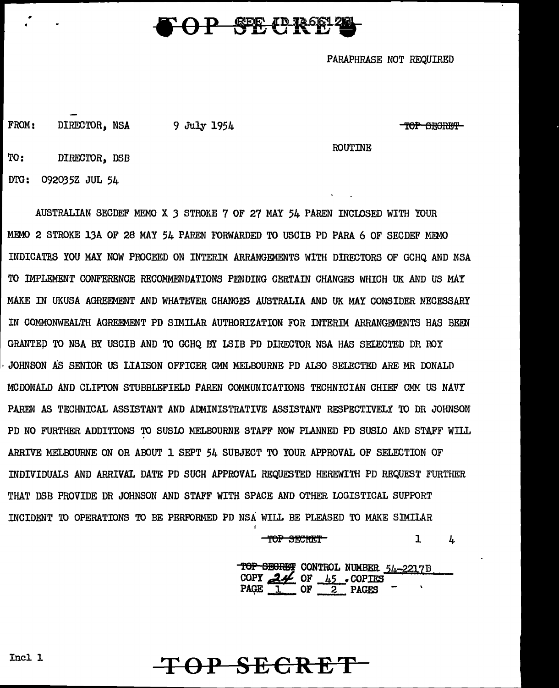## **P** SEC (DROSI 20

PARAPHRASE NOT REQUIRED

FROM: DIRECTOR, NSA 9 July 1954  $\overline{TOP}$  SECRET

ROUTINE

TO: DIRECTOR, DSB

DTG: 09203 5Z JUL 54

AUSTRALIAN SECDEF MEMO X *3* STROKE 7 OF 27 MAY 54 PAREN INCLOSED WITH YOUR MEMO 2 STROKE 13A OF 28 MAY 54 PAREN FORWARDED TO USC!B PD PARA 6 OF SECDEF MEMO INDICATES YOU MAY NOW PROCEED ON INTERIM ARRANGFMENTS WITH DIRECTORS OF GCHO AND NSA TO IMPLEMENT CONFERENCE RECOMMENDATIONS PENDING CERTAIN CHANGES WHICH UK AND US MAY MAKE IN UKUSA AGREEMENT AND WHATEVER CHANGES AUSTRALIA AND UK MAY CONSIDER NECESSARY IN COMMONWEALTH AGREEMENT PD SIMILAR AUTHORIZATION FOR INTERIM ARRANGEMENTS HAS BEEN GRANTED TO NSA BY USCIB AND TO GCHQ BY LSIB PD DIRECTOR NSA HAS SELECTED DR ROY · JOHNSON AS SENIOR US LIAISON OFFICER CMM MELBOURNE PD ALSO SELECTED *ARE* MR DONALD MCDONALD AND CLIFTON STUBBLEFIELD PAREN COMMUNICATIONS TECHNICIAN CHIEF CMM US NAVY PAREN AS TECHNICAL ASSISTANT AND ADMINISTRATIVE ASSISTANT RESPECTIVELY TO DR JOHNSON PD NO FURTHER ADDITIONS TO SUSIO MELBOURNE STAFF NOW PLANNED PD SUSIO AND STAFF WILL ARRIVE MELBOURNE ON OR ABOUT 1 SEPT 54 SUBJECT TO YOUR APPROVAL OF SELECTION OF INDIVIDUALS AND ARRIVAL DATE PD SUCH APPROVAL REQUESTED HEREWITH PD REQUEST FURTHER THAT DSB PROVIDE DR JOHNSON AND STAFF WITH SPACE AND OTHER LOGISTICAL SUPPORT INCIDENT TO OPERATIONS TO BE PERFORMED PD NSA WILL BE PLEASED TO MAKE SIMILAR

> TOP SECRET  $\mathbf 1$  $\bf{h}$

TOP SECRET CONTROL NUMBER 54-2217B  $COPY$  *BH* OF  $45$  • COPIES  $PAGE \t{1}$  OF  $\t{2}$  PAGES  $\cdot$ 

**TOP SECRET** 

Incl 1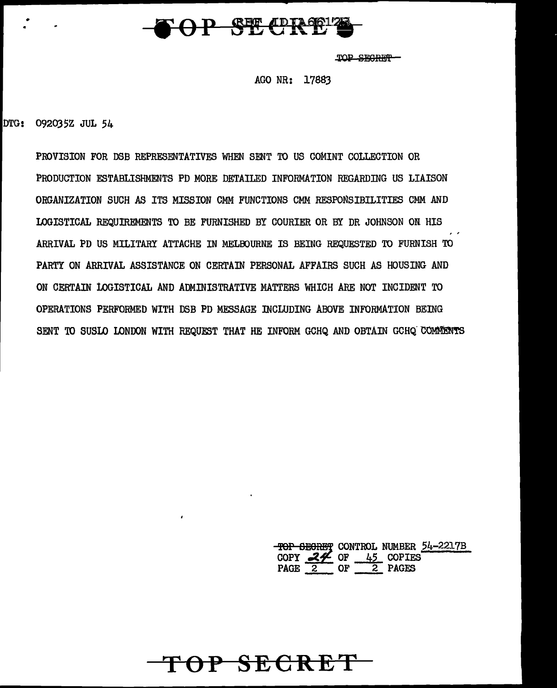

TOP SEGRET-

AGO NR: 17883

DTG: 092035Z JUL 54

•

PROVISION FOR DSB REPRESENTATIVES WHEN SENT TO US COMINT COLLECTION OR PRODUCTION ESTABLISHMENTS PD MORE DETAILED INFORMATION REGARDING US LIAISON ORGANIZATION SUCH AS ITS MISSION CMM FUNCTIONS CMM RESPONSIBILITIES CMM AND LOGISTICAL REQUffiEMENTS TO BE FURNISHED BY COURIER OR BY DR JOHNSON ON HIS ARRIVAL PD US MILITARY ATTACHE IN MELBOURNE IS BEING REQUESTED TO FURNISH TO PARTY ON ARRIVAL ASSISTANCE ON CERTAIN PERSONAL AFFAIRS SUCH AS HOUSING AND ON CERTAIN LOGISTICAL AND ADMINISTRATIVE MATTERS WHICH ARE NOT INCIDENT TO OPERATIONS PERFORMED WITH DSB PD MESSAGE INCLUDING ABOVE INFORMATION BEING SENT TO SUSLO LONDON WITH REQUEST THAT HE INFORM GCHQ AND OBTAIN GCHQ COMMENTS

**TOP SECRET** 

**TOP 6EGRET CONTROL NUMBER 54-2217B**<br>COPY <u>2</u>45 COPIES PAGE  $2$  OF  $2$  PAGES